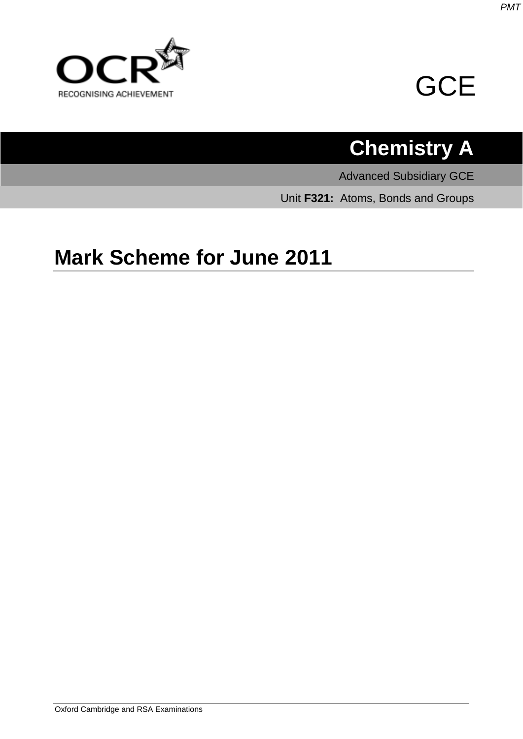

# **GCE**

# **Chemistry A**

Advanced Subsidiary GCE

Unit **F321:** Atoms, Bonds and Groups

## **Mark Scheme for June 2011**

*PMT*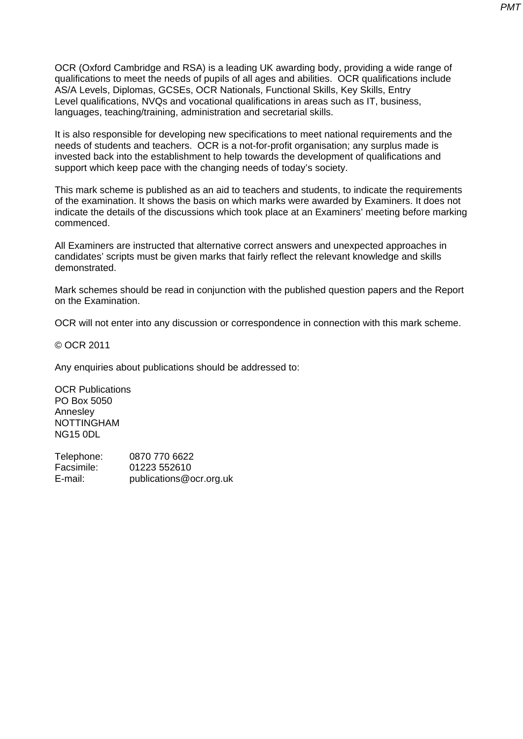OCR (Oxford Cambridge and RSA) is a leading UK awarding body, providing a wide range of qualifications to meet the needs of pupils of all ages and abilities. OCR qualifications include AS/A Levels, Diplomas, GCSEs, OCR Nationals, Functional Skills, Key Skills, Entry Level qualifications, NVQs and vocational qualifications in areas such as IT, business, languages, teaching/training, administration and secretarial skills.

It is also responsible for developing new specifications to meet national requirements and the needs of students and teachers. OCR is a not-for-profit organisation; any surplus made is invested back into the establishment to help towards the development of qualifications and support which keep pace with the changing needs of today's society.

This mark scheme is published as an aid to teachers and students, to indicate the requirements of the examination. It shows the basis on which marks were awarded by Examiners. It does not indicate the details of the discussions which took place at an Examiners' meeting before marking commenced.

All Examiners are instructed that alternative correct answers and unexpected approaches in candidates' scripts must be given marks that fairly reflect the relevant knowledge and skills demonstrated.

Mark schemes should be read in conjunction with the published question papers and the Report on the Examination.

OCR will not enter into any discussion or correspondence in connection with this mark scheme.

© OCR 2011

Any enquiries about publications should be addressed to:

OCR Publications PO Box 5050 Annesley NOTTINGHAM NG15 0DL

Telephone: 0870 770 6622 Facsimile: 01223 552610 E-mail: publications@ocr.org.uk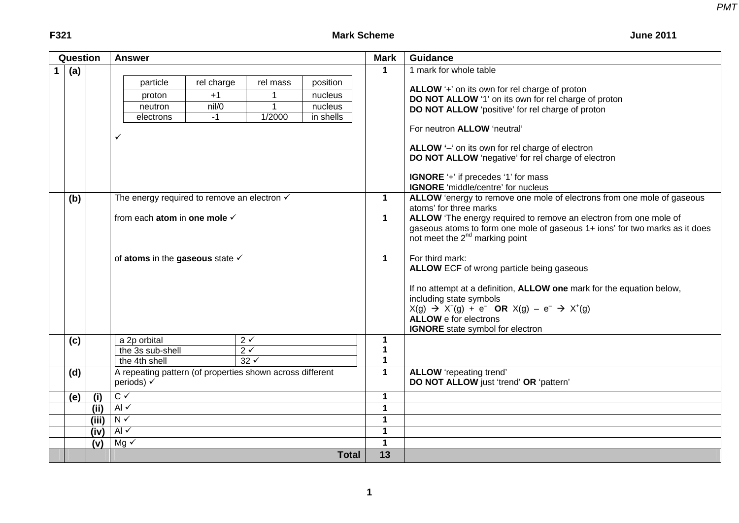### **F321** Mark Scheme

**June 2011** 

| Question |       | <b>Answer</b>                                                                                                                                                    | <b>Mark</b>                               | <b>Guidance</b>                                                                                                                                                                                                                                                                                                                                                                                                                                                                                                                                                                                                                               |
|----------|-------|------------------------------------------------------------------------------------------------------------------------------------------------------------------|-------------------------------------------|-----------------------------------------------------------------------------------------------------------------------------------------------------------------------------------------------------------------------------------------------------------------------------------------------------------------------------------------------------------------------------------------------------------------------------------------------------------------------------------------------------------------------------------------------------------------------------------------------------------------------------------------------|
| (a)      |       | rel charge<br>particle<br>rel mass<br>position<br>$+1$<br>nucleus<br>proton<br>nil/0<br>1<br>nucleus<br>neutron<br>$-1$<br>1/2000<br>in shells<br>electrons<br>✓ | $\mathbf 1$                               | 1 mark for whole table<br>ALLOW '+' on its own for rel charge of proton<br>DO NOT ALLOW '1' on its own for rel charge of proton<br>DO NOT ALLOW 'positive' for rel charge of proton<br>For neutron <b>ALLOW</b> 'neutral'<br>ALLOW '-' on its own for rel charge of electron<br>DO NOT ALLOW 'negative' for rel charge of electron<br>IGNORE '+' if precedes '1' for mass                                                                                                                                                                                                                                                                     |
| (b)      |       | The energy required to remove an electron $\checkmark$<br>from each atom in one mole √<br>of atoms in the gaseous state $\checkmark$                             | $\mathbf 1$<br>$\mathbf 1$<br>$\mathbf 1$ | <b>IGNORE</b> 'middle/centre' for nucleus<br>ALLOW 'energy to remove one mole of electrons from one mole of gaseous<br>atoms' for three marks<br>ALLOW 'The energy required to remove an electron from one mole of<br>gaseous atoms to form one mole of gaseous 1+ ions' for two marks as it does<br>not meet the 2 <sup>nd</sup> marking point<br>For third mark:<br>ALLOW ECF of wrong particle being gaseous<br>If no attempt at a definition, ALLOW one mark for the equation below,<br>including state symbols<br>$X(g) \to X^+(g) + e^-$ OR $X(g) - e^- \to X^+(g)$<br><b>ALLOW</b> e for electrons<br>IGNORE state symbol for electron |
| (c)      |       | a 2p orbital<br>$2\checkmark$<br>$2\sqrt{ }$<br>the 3s sub-shell<br>$32 \sqrt$<br>the 4th shell                                                                  | $\mathbf{1}$<br>1<br>1                    |                                                                                                                                                                                                                                                                                                                                                                                                                                                                                                                                                                                                                                               |
| (d)      |       | A repeating pattern (of properties shown across different<br>periods) √                                                                                          | $\blacktriangleleft$                      | <b>ALLOW</b> 'repeating trend'<br>DO NOT ALLOW just 'trend' OR 'pattern'                                                                                                                                                                                                                                                                                                                                                                                                                                                                                                                                                                      |
| (e)      | (i)   | $\overline{C}$ $\checkmark$                                                                                                                                      | $\mathbf{1}$                              |                                                                                                                                                                                                                                                                                                                                                                                                                                                                                                                                                                                                                                               |
|          | (iii) | Al $\checkmark$                                                                                                                                                  | $\mathbf{1}$                              |                                                                                                                                                                                                                                                                                                                                                                                                                                                                                                                                                                                                                                               |
|          | (iii) | $N \sim$                                                                                                                                                         | $\mathbf{1}$                              |                                                                                                                                                                                                                                                                                                                                                                                                                                                                                                                                                                                                                                               |
|          | (iv)  | Al $\checkmark$<br>$Mg \checkmark$                                                                                                                               | $\mathbf 1$<br>$\mathbf 1$                |                                                                                                                                                                                                                                                                                                                                                                                                                                                                                                                                                                                                                                               |
|          | (v)   | <b>Total</b>                                                                                                                                                     | 13                                        |                                                                                                                                                                                                                                                                                                                                                                                                                                                                                                                                                                                                                                               |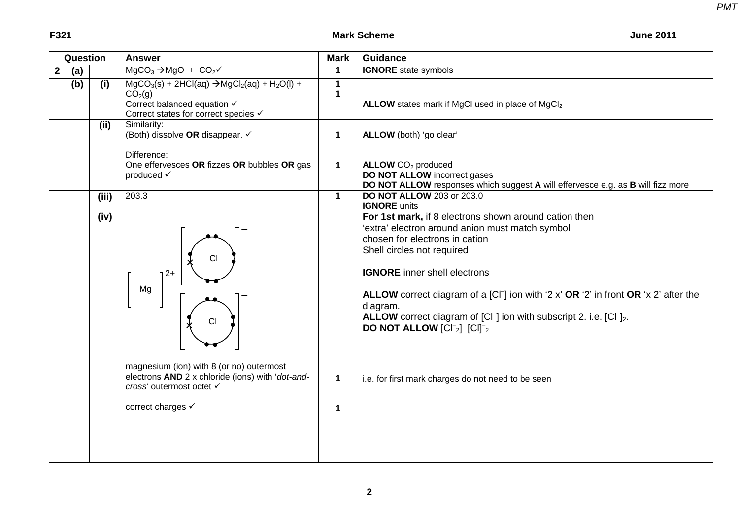**F321** Mark Scheme

| Question |       | <b>Answer</b>                                                                                                                                        | <b>Mark</b>                                                      | <b>Guidance</b>                                                                                                                                                                                                                                                                                                                                                                                                                                                                                   |  |  |
|----------|-------|------------------------------------------------------------------------------------------------------------------------------------------------------|------------------------------------------------------------------|---------------------------------------------------------------------------------------------------------------------------------------------------------------------------------------------------------------------------------------------------------------------------------------------------------------------------------------------------------------------------------------------------------------------------------------------------------------------------------------------------|--|--|
| (a)      |       | $MgCO3 \rightarrow MgO + CO2v$                                                                                                                       | $\mathbf{1}$                                                     | <b>IGNORE</b> state symbols                                                                                                                                                                                                                                                                                                                                                                                                                                                                       |  |  |
| (b)      | (i)   | $MgCO3(s) + 2HCl(aq) \rightarrow MgCl2(aq) + H2O(l) +$<br>CO <sub>2</sub> (g)<br>Correct balanced equation V<br>Correct states for correct species √ | $\mathbf 1$<br>$\mathbf 1$                                       | ALLOW states mark if MgCl used in place of MgCl <sub>2</sub>                                                                                                                                                                                                                                                                                                                                                                                                                                      |  |  |
|          | (ii)  | Similarity:<br>(Both) dissolve OR disappear. ✓                                                                                                       | $\mathbf{1}$                                                     | ALLOW (both) 'go clear'                                                                                                                                                                                                                                                                                                                                                                                                                                                                           |  |  |
|          |       | One effervesces OR fizzes OR bubbles OR gas<br>produced √                                                                                            | $\mathbf{1}$                                                     | ALLOW CO <sub>2</sub> produced<br><b>DO NOT ALLOW</b> incorrect gases<br>DO NOT ALLOW responses which suggest A will effervesce e.g. as B will fizz more                                                                                                                                                                                                                                                                                                                                          |  |  |
|          | (iii) |                                                                                                                                                      |                                                                  | <b>DO NOT ALLOW 203 or 203.0</b><br><b>IGNORE</b> units                                                                                                                                                                                                                                                                                                                                                                                                                                           |  |  |
|          | (iv)  | СI<br>$12+$<br>Mg<br>CI                                                                                                                              |                                                                  | For 1st mark, if 8 electrons shown around cation then<br>'extra' electron around anion must match symbol<br>chosen for electrons in cation<br>Shell circles not required<br><b>IGNORE</b> inner shell electrons<br>ALLOW correct diagram of a $[Cl^-]$ ion with '2 x' OR '2' in front OR 'x 2' after the<br>diagram.<br><b>ALLOW</b> correct diagram of $[CI^-]$ ion with subscript 2. i.e. $[CI^-]_2$ .<br><b>DO NOT ALLOW</b> $\left[\text{CI}^{-}_{2}\right]$ $\left[\text{CI}\right]^{-}_{2}$ |  |  |
|          |       | electrons AND 2 x chloride (ions) with 'dot-and-<br>cross' outermost octet √<br>correct charges √                                                    | $\mathbf{1}$<br>$\mathbf 1$                                      | i.e. for first mark charges do not need to be seen                                                                                                                                                                                                                                                                                                                                                                                                                                                |  |  |
|          |       |                                                                                                                                                      | Difference:<br>203.3<br>magnesium (ion) with 8 (or no) outermost | $\mathbf 1$                                                                                                                                                                                                                                                                                                                                                                                                                                                                                       |  |  |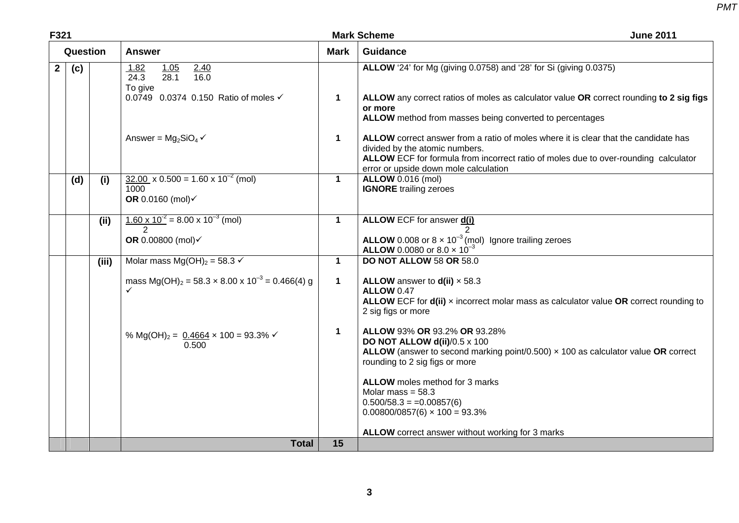| F321           |          |       |                                                                                      |                      | <b>Mark Scheme</b><br><b>June 2011</b>                                                                                                                                                                                                                |
|----------------|----------|-------|--------------------------------------------------------------------------------------|----------------------|-------------------------------------------------------------------------------------------------------------------------------------------------------------------------------------------------------------------------------------------------------|
|                | Question |       | <b>Answer</b>                                                                        | <b>Mark</b>          | <b>Guidance</b>                                                                                                                                                                                                                                       |
| $\overline{2}$ | (c)      |       | 1.05<br>1.82<br>$\frac{2.40}{16.0}$<br>24.3<br>28.1<br>To give                       |                      | <b>ALLOW</b> '24' for Mg (giving 0.0758) and '28' for Si (giving 0.0375)                                                                                                                                                                              |
|                |          |       | 0.0749 0.0374 0.150 Ratio of moles √                                                 | $\mathbf 1$          | ALLOW any correct ratios of moles as calculator value OR correct rounding to 2 sig figs<br>or more<br>ALLOW method from masses being converted to percentages                                                                                         |
|                |          |       | Answer = $Mg_2SiO_4 \checkmark$                                                      | $\blacktriangleleft$ | ALLOW correct answer from a ratio of moles where it is clear that the candidate has<br>divided by the atomic numbers.<br>ALLOW ECF for formula from incorrect ratio of moles due to over-rounding calculator<br>error or upside down mole calculation |
|                | (d)      | (i)   | $32.00 \times 0.500 = 1.60 \times 10^{-2}$ (mol)<br>1000<br>OR 0.0160 (mol)√         | $\mathbf{1}$         | <b>ALLOW</b> 0.016 (mol)<br><b>IGNORE</b> trailing zeroes                                                                                                                                                                                             |
|                |          | (ii)  | $\frac{1.60 \times 10^{-2}}{2}$ = 8.00 x 10 <sup>-3</sup> (mol)                      | $\mathbf 1$          | <b>ALLOW ECF for answer d(i)</b>                                                                                                                                                                                                                      |
|                |          |       | OR 0.00800 (mol)√                                                                    |                      | <b>ALLOW</b> 0.008 or $8 \times 10^{-3}$ (mol) Ignore trailing zeroes<br><b>ALLOW</b> 0.0080 or 8.0 $\times$ 10 <sup>-3</sup>                                                                                                                         |
|                |          | (iii) | Molar mass $Mg(OH)_2 = 58.3 \checkmark$                                              | $\mathbf 1$          | <b>DO NOT ALLOW 58 OR 58.0</b>                                                                                                                                                                                                                        |
|                |          |       | mass Mg(OH) <sub>2</sub> = 58.3 $\times$ 8.00 $\times$ 10 <sup>-3</sup> = 0.466(4) g | $\mathbf 1$          | ALLOW answer to $d(ii) \times 58.3$<br><b>ALLOW 0.47</b><br>ALLOW ECF for d(ii) x incorrect molar mass as calculator value OR correct rounding to<br>2 sig figs or more                                                                               |
|                |          |       | % Mg(OH) <sub>2</sub> = $0.4664 \times 100 = 93.3\%$<br>0.500                        | $\mathbf 1$          | ALLOW 93% OR 93.2% OR 93.28%<br>DO NOT ALLOW d(ii)/0.5 x 100<br>ALLOW (answer to second marking point/0.500) $\times$ 100 as calculator value OR correct<br>rounding to 2 sig figs or more                                                            |
|                |          |       |                                                                                      |                      | ALLOW moles method for 3 marks<br>Molar mass = $58.3$<br>$0.500/58.3 = 0.00857(6)$<br>$0.00800/0857(6) \times 100 = 93.3\%$                                                                                                                           |
|                |          |       |                                                                                      |                      | ALLOW correct answer without working for 3 marks                                                                                                                                                                                                      |
|                |          |       | <b>Total</b>                                                                         | 15                   |                                                                                                                                                                                                                                                       |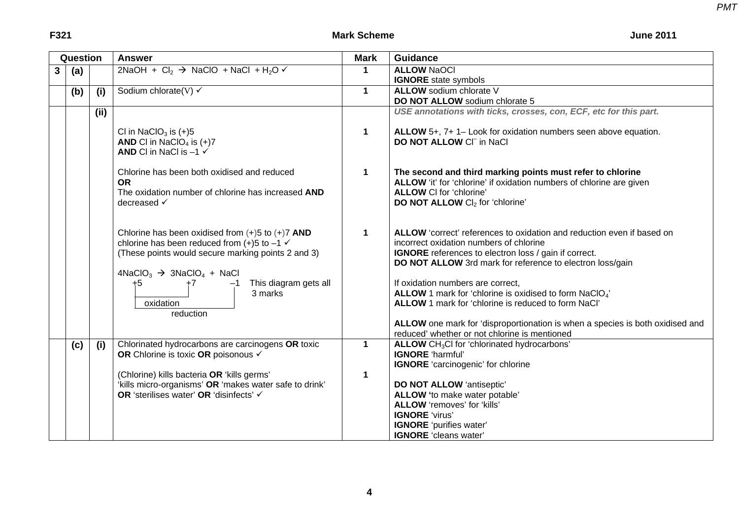**June 2011** 

|   | Question |       | <b>Answer</b>                                                                                                                                                                                                                                                                                    | <b>Mark</b>  | <b>Guidance</b>                                                                                                                                                                                                                                                                                                                                                                                                                                                                                                                              |
|---|----------|-------|--------------------------------------------------------------------------------------------------------------------------------------------------------------------------------------------------------------------------------------------------------------------------------------------------|--------------|----------------------------------------------------------------------------------------------------------------------------------------------------------------------------------------------------------------------------------------------------------------------------------------------------------------------------------------------------------------------------------------------------------------------------------------------------------------------------------------------------------------------------------------------|
| 3 | (a)      |       | $2NaOH + Cl2$ $\rightarrow$ NaClO + NaCl + H <sub>2</sub> O $\checkmark$                                                                                                                                                                                                                         | $\mathbf{1}$ | <b>ALLOW NaOCI</b>                                                                                                                                                                                                                                                                                                                                                                                                                                                                                                                           |
|   |          |       |                                                                                                                                                                                                                                                                                                  |              | <b>IGNORE</b> state symbols                                                                                                                                                                                                                                                                                                                                                                                                                                                                                                                  |
|   | (b)      | (i)   | Sodium chlorate(V) $\checkmark$                                                                                                                                                                                                                                                                  | $\mathbf{1}$ | ALLOW sodium chlorate V                                                                                                                                                                                                                                                                                                                                                                                                                                                                                                                      |
|   |          |       |                                                                                                                                                                                                                                                                                                  |              | DO NOT ALLOW sodium chlorate 5                                                                                                                                                                                                                                                                                                                                                                                                                                                                                                               |
|   |          | (iii) |                                                                                                                                                                                                                                                                                                  |              | USE annotations with ticks, crosses, con, ECF, etc for this part.                                                                                                                                                                                                                                                                                                                                                                                                                                                                            |
|   |          |       | Cl in NaClO <sub>3</sub> is $(+)5$<br>AND CI in NaClO <sub>4</sub> is $(+)7$<br>AND CI in NaCI is $-1$ $\checkmark$                                                                                                                                                                              | $\mathbf 1$  | ALLOW 5+, 7+ 1- Look for oxidation numbers seen above equation.<br>DO NOT ALLOW CI <sup>-</sup> in NaCl                                                                                                                                                                                                                                                                                                                                                                                                                                      |
|   |          |       | Chlorine has been both oxidised and reduced<br><b>OR</b><br>The oxidation number of chlorine has increased AND<br>decreased √                                                                                                                                                                    | $\mathbf{1}$ | The second and third marking points must refer to chlorine<br>ALLOW 'it' for 'chlorine' if oxidation numbers of chlorine are given<br><b>ALLOW CI for 'chlorine'</b><br><b>DO NOT ALLOW CI<sub>2</sub> for 'chlorine'</b>                                                                                                                                                                                                                                                                                                                    |
|   |          |       | Chlorine has been oxidised from $(+)5$ to $(+)7$ AND<br>chlorine has been reduced from $(+)5$ to $-1 \checkmark$<br>(These points would secure marking points 2 and 3)<br>$4NaClO3$ $\rightarrow$ 3NaClO <sub>4</sub> + NaCl<br>This diagram gets all<br>+5<br>3 marks<br>oxidation<br>reduction | $\mathbf 1$  | ALLOW 'correct' references to oxidation and reduction even if based on<br>incorrect oxidation numbers of chlorine<br>IGNORE references to electron loss / gain if correct.<br>DO NOT ALLOW 3rd mark for reference to electron loss/gain<br>If oxidation numbers are correct,<br>ALLOW 1 mark for 'chlorine is oxidised to form NaClO <sub>4</sub> '<br>ALLOW 1 mark for 'chlorine is reduced to form NaCl'<br>ALLOW one mark for 'disproportionation is when a species is both oxidised and<br>reduced' whether or not chlorine is mentioned |
|   | (c)      | (i)   | Chlorinated hydrocarbons are carcinogens OR toxic<br>OR Chlorine is toxic OR poisonous √                                                                                                                                                                                                         | $\mathbf 1$  | ALLOW CH <sub>3</sub> Cl for 'chlorinated hydrocarbons'<br>IGNORE 'harmful'<br><b>IGNORE</b> 'carcinogenic' for chlorine                                                                                                                                                                                                                                                                                                                                                                                                                     |
|   |          |       | (Chlorine) kills bacteria OR 'kills germs'<br>'kills micro-organisms' OR 'makes water safe to drink'<br>OR 'sterilises water' OR 'disinfects' √                                                                                                                                                  | 1            | DO NOT ALLOW 'antiseptic'<br>ALLOW 'to make water potable'<br>ALLOW 'removes' for 'kills'<br><b>IGNORE</b> 'virus'<br><b>IGNORE</b> 'purifies water'<br><b>IGNORE</b> 'cleans water'                                                                                                                                                                                                                                                                                                                                                         |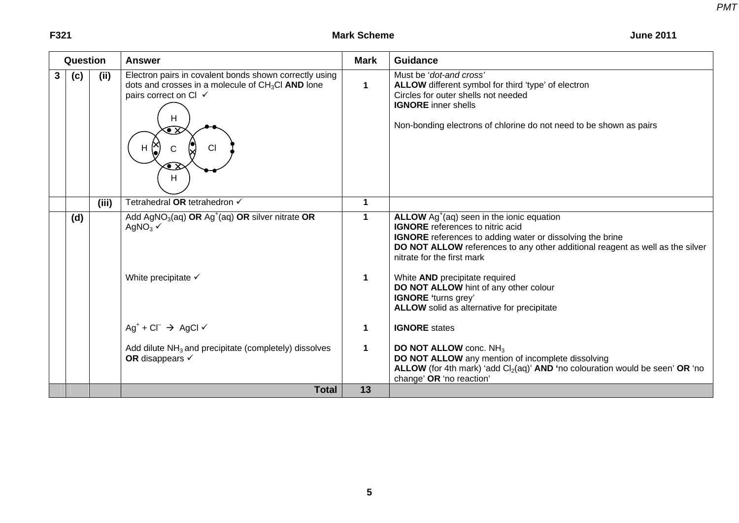**F321** Mark Scheme

|   | Question |       | <b>Answer</b>                                                                                                                                                                                                | <b>Mark</b>          | <b>Guidance</b>                                                                                                                                                                                                                                                                   |
|---|----------|-------|--------------------------------------------------------------------------------------------------------------------------------------------------------------------------------------------------------------|----------------------|-----------------------------------------------------------------------------------------------------------------------------------------------------------------------------------------------------------------------------------------------------------------------------------|
| 3 | (c)      | (ii)  | Electron pairs in covalent bonds shown correctly using<br>dots and crosses in a molecule of $CH3Cl$ AND lone<br>pairs correct on Cl ✓<br>н<br>$\bullet{\bf x}$<br><b>CI</b><br>н<br>$\bullet{\text{x}}$<br>Н | $\blacktriangleleft$ | Must be 'dot-and cross'<br>ALLOW different symbol for third 'type' of electron<br>Circles for outer shells not needed<br><b>IGNORE</b> inner shells<br>Non-bonding electrons of chlorine do not need to be shown as pairs                                                         |
|   |          | (iii) | Tetrahedral OR tetrahedron √                                                                                                                                                                                 | $\blacktriangleleft$ |                                                                                                                                                                                                                                                                                   |
|   | (d)      |       | Add AgNO <sub>3</sub> (aq) OR Ag <sup>+</sup> (aq) OR silver nitrate OR<br>AgNO <sub>3</sub> $\checkmark$                                                                                                    | $\mathbf{1}$         | ALLOW $Ag^{\dagger}(aq)$ seen in the ionic equation<br><b>IGNORE</b> references to nitric acid<br><b>IGNORE</b> references to adding water or dissolving the brine<br>DO NOT ALLOW references to any other additional reagent as well as the silver<br>nitrate for the first mark |
|   |          |       | White precipitate $\checkmark$                                                                                                                                                                               | $\mathbf 1$          | White AND precipitate required<br>DO NOT ALLOW hint of any other colour<br><b>IGNORE</b> 'turns grey'<br><b>ALLOW</b> solid as alternative for precipitate                                                                                                                        |
|   |          |       | $Ag^+ + Cl^- \rightarrow AgCl \checkmark$                                                                                                                                                                    | $\mathbf 1$          | <b>IGNORE</b> states                                                                                                                                                                                                                                                              |
|   |          |       | Add dilute $NH3$ and precipitate (completely) dissolves<br>OR disappears $\checkmark$                                                                                                                        | $\blacktriangleleft$ | <b>DO NOT ALLOW conc. NH<sub>3</sub></b><br>DO NOT ALLOW any mention of incomplete dissolving<br>ALLOW (for 4th mark) 'add $Cl2(aq)$ ' AND 'no colouration would be seen' OR 'no<br>change' OR 'no reaction'                                                                      |
|   |          |       | <b>Total</b>                                                                                                                                                                                                 | 13                   |                                                                                                                                                                                                                                                                                   |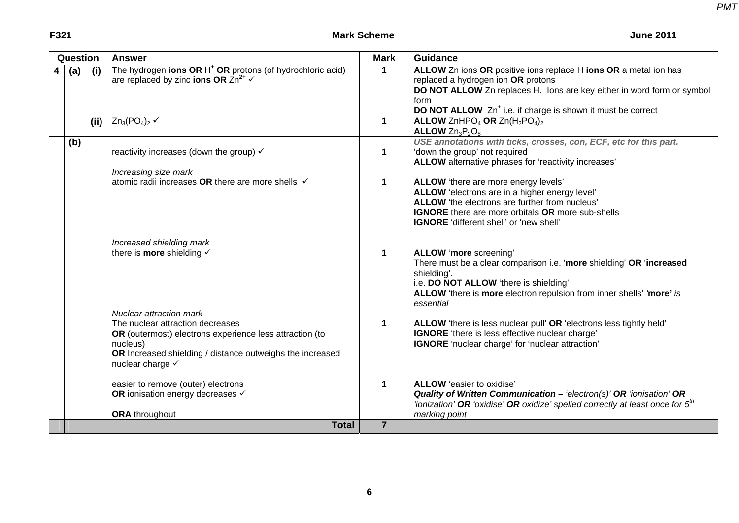|   | Question |     | <b>Answer</b>                                                                                                                                                                                                              | <b>Mark</b>          | <b>Guidance</b>                                                                                                                                                                                                                                                     |
|---|----------|-----|----------------------------------------------------------------------------------------------------------------------------------------------------------------------------------------------------------------------------|----------------------|---------------------------------------------------------------------------------------------------------------------------------------------------------------------------------------------------------------------------------------------------------------------|
| 4 | (a)      | (i) | The hydrogen ions OR H <sup>+</sup> OR protons (of hydrochloric acid)<br>are replaced by zinc ions OR $\text{Zn}^{2+} \checkmark$                                                                                          | 1                    | ALLOW Zn ions OR positive ions replace H ions OR a metal ion has<br>replaced a hydrogen ion OR protons<br>DO NOT ALLOW Zn replaces H. lons are key either in word form or symbol<br>form<br>DO NOT ALLOW Zn <sup>+</sup> i.e. if charge is shown it must be correct |
|   |          | (i) | $Zn_3(PO_4)_2 \checkmark$                                                                                                                                                                                                  | $\mathbf{1}$         | <b>ALLOW</b> ZnHPO <sub>4</sub> OR Zn( $H_2$ PO <sub>4</sub> ) <sub>2</sub><br>ALLOW $Zn_3P_2O_8$                                                                                                                                                                   |
|   | (b)      |     | reactivity increases (down the group) $\checkmark$<br>Increasing size mark                                                                                                                                                 | $\mathbf 1$          | USE annotations with ticks, crosses, con, ECF, etc for this part.<br>'down the group' not required<br>ALLOW alternative phrases for 'reactivity increases'                                                                                                          |
|   |          |     | atomic radii increases OR there are more shells √                                                                                                                                                                          | $\mathbf 1$          | ALLOW 'there are more energy levels'<br>ALLOW 'electrons are in a higher energy level'<br>ALLOW 'the electrons are further from nucleus'<br><b>IGNORE</b> there are more orbitals OR more sub-shells<br><b>IGNORE</b> 'different shell' or 'new shell'              |
|   |          |     | Increased shielding mark<br>there is <b>more</b> shielding $\checkmark$                                                                                                                                                    | $\mathbf 1$          | ALLOW 'more screening'<br>There must be a clear comparison i.e. 'more shielding' OR 'increased<br>shielding'.<br>i.e. DO NOT ALLOW 'there is shielding'<br>ALLOW 'there is more electron repulsion from inner shells' 'more' is<br>essential                        |
|   |          |     | <b>Nuclear attraction mark</b><br>The nuclear attraction decreases<br>OR (outermost) electrons experience less attraction (to<br>nucleus)<br>OR Increased shielding / distance outweighs the increased<br>nuclear charge √ | $\blacktriangleleft$ | ALLOW 'there is less nuclear pull' OR 'electrons less tightly held'<br><b>IGNORE</b> 'there is less effective nuclear charge'<br>IGNORE 'nuclear charge' for 'nuclear attraction'                                                                                   |
|   |          |     | easier to remove (outer) electrons<br>OR ionisation energy decreases $\checkmark$<br><b>ORA</b> throughout                                                                                                                 | $\blacktriangleleft$ | ALLOW 'easier to oxidise'<br>Quality of Written Communication - 'electron(s)' OR 'ionisation' OR<br>'ionization' OR 'oxidise' OR oxidize' spelled correctly at least once for $5m$<br>marking point                                                                 |
|   |          |     | <b>Total</b>                                                                                                                                                                                                               | $\overline{7}$       |                                                                                                                                                                                                                                                                     |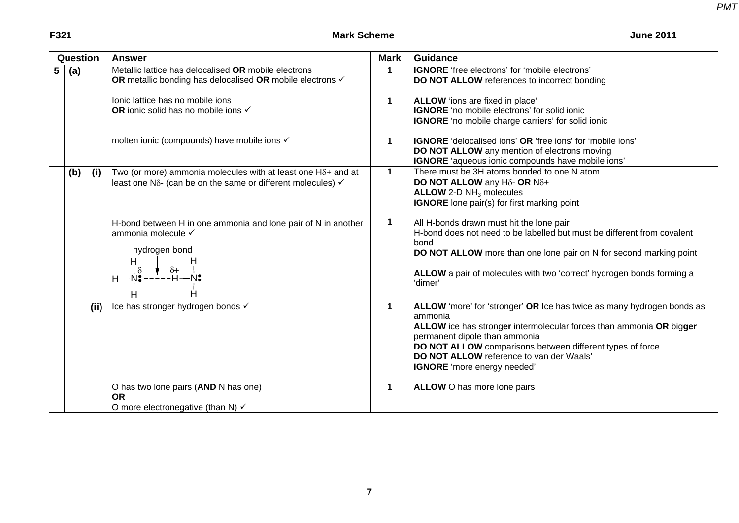| <b>June 2011</b> |  |  |
|------------------|--|--|
|------------------|--|--|

|                | Question |     | <b>Answer</b>                                                                                                                                                                                                                               | <b>Mark</b>           | <b>Guidance</b>                                                                                                                                                                                                                                                                                                                          |
|----------------|----------|-----|---------------------------------------------------------------------------------------------------------------------------------------------------------------------------------------------------------------------------------------------|-----------------------|------------------------------------------------------------------------------------------------------------------------------------------------------------------------------------------------------------------------------------------------------------------------------------------------------------------------------------------|
| 5 <sup>1</sup> | (a)      |     | Metallic lattice has delocalised OR mobile electrons<br>OR metallic bonding has delocalised OR mobile electrons ✓<br>Ionic lattice has no mobile ions<br>OR ionic solid has no mobile ions √<br>molten ionic (compounds) have mobile ions √ | 1<br>1<br>$\mathbf 1$ | <b>IGNORE</b> 'free electrons' for 'mobile electrons'<br>DO NOT ALLOW references to incorrect bonding<br>ALLOW 'ions are fixed in place'<br><b>IGNORE</b> 'no mobile electrons' for solid ionic<br><b>IGNORE</b> 'no mobile charge carriers' for solid ionic<br><b>IGNORE</b> 'delocalised ions' OR 'free ions' for 'mobile ions'        |
|                |          |     |                                                                                                                                                                                                                                             |                       | DO NOT ALLOW any mention of electrons moving<br>IGNORE 'aqueous ionic compounds have mobile ions'                                                                                                                                                                                                                                        |
|                | (b)      | (i) | Two (or more) ammonia molecules with at least one $H\delta$ + and at<br>least one N $\delta$ - (can be on the same or different molecules) $\checkmark$                                                                                     | $\mathbf{1}$          | There must be 3H atoms bonded to one N atom<br>DO NOT ALLOW any H <sub>δ</sub> - OR N <sub>δ+</sub><br>ALLOW 2-D $NH3$ molecules<br><b>IGNORE</b> lone pair(s) for first marking point                                                                                                                                                   |
|                |          |     | H-bond between H in one ammonia and lone pair of N in another<br>ammonia molecule √<br>hydrogen bond<br>H<br>H<br>$\delta +$<br>$\delta$ -<br>$H - N$ :----- $H - N$ :<br>Н<br>Ĥ                                                            | 1                     | All H-bonds drawn must hit the lone pair<br>H-bond does not need to be labelled but must be different from covalent<br>bond<br>DO NOT ALLOW more than one lone pair on N for second marking point<br>ALLOW a pair of molecules with two 'correct' hydrogen bonds forming a<br>'dimer'                                                    |
|                |          | (i) | Ice has stronger hydrogen bonds √                                                                                                                                                                                                           | $\mathbf 1$           | ALLOW 'more' for 'stronger' OR Ice has twice as many hydrogen bonds as<br>ammonia<br>ALLOW ice has stronger intermolecular forces than ammonia OR bigger<br>permanent dipole than ammonia<br>DO NOT ALLOW comparisons between different types of force<br><b>DO NOT ALLOW</b> reference to van der Waals'<br>IGNORE 'more energy needed' |
|                |          |     | O has two lone pairs (AND N has one)<br><b>OR</b><br>O more electronegative (than N) $\checkmark$                                                                                                                                           | 1                     | ALLOW O has more lone pairs                                                                                                                                                                                                                                                                                                              |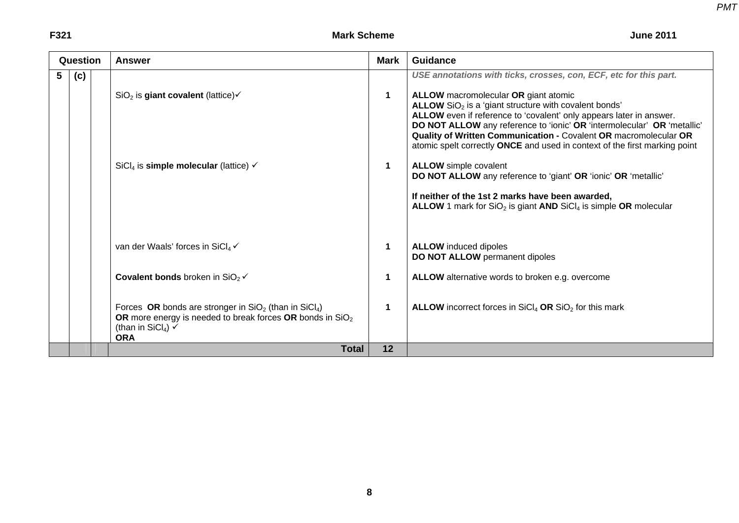### **F321** Mark Scheme

**June 2011** 

| Question |     | <b>Answer</b>                                                                                                                                                                                 | <b>Mark</b> | <b>Guidance</b>                                                                                                                                                                                                                                                                                                                                                                                                                                                                           |
|----------|-----|-----------------------------------------------------------------------------------------------------------------------------------------------------------------------------------------------|-------------|-------------------------------------------------------------------------------------------------------------------------------------------------------------------------------------------------------------------------------------------------------------------------------------------------------------------------------------------------------------------------------------------------------------------------------------------------------------------------------------------|
| 5        | (c) | SiO <sub>2</sub> is giant covalent (lattice) $\checkmark$                                                                                                                                     | 1           | USE annotations with ticks, crosses, con, ECF, etc for this part.<br><b>ALLOW</b> macromolecular OR giant atomic<br>ALLOW SiO <sub>2</sub> is a 'giant structure with covalent bonds'<br>ALLOW even if reference to 'covalent' only appears later in answer.<br>DO NOT ALLOW any reference to 'ionic' OR 'intermolecular' OR 'metallic'<br>Quality of Written Communication - Covalent OR macromolecular OR<br>atomic spelt correctly ONCE and used in context of the first marking point |
|          |     | SiCl <sub>4</sub> is <b>simple molecular</b> (lattice) $\checkmark$                                                                                                                           | 1           | <b>ALLOW</b> simple covalent<br>DO NOT ALLOW any reference to 'giant' OR 'ionic' OR 'metallic'<br>If neither of the 1st 2 marks have been awarded,<br><b>ALLOW</b> 1 mark for $SiO2$ is giant <b>AND</b> $SiCl4$ is simple OR molecular                                                                                                                                                                                                                                                   |
|          |     | van der Waals' forces in SiCl4√                                                                                                                                                               | 1           | <b>ALLOW</b> induced dipoles<br>DO NOT ALLOW permanent dipoles                                                                                                                                                                                                                                                                                                                                                                                                                            |
|          |     | <b>Covalent bonds</b> broken in $SiO2$ $\checkmark$                                                                                                                                           | 1           | ALLOW alternative words to broken e.g. overcome                                                                                                                                                                                                                                                                                                                                                                                                                                           |
|          |     | Forces OR bonds are stronger in $SiO2$ (than in $SiCl4$ )<br>OR more energy is needed to break forces OR bonds in SiO <sub>2</sub><br>(than in SiCl <sub>4</sub> ) $\checkmark$<br><b>ORA</b> | 1           | <b>ALLOW</b> incorrect forces in $SiCl4$ OR $SiO2$ for this mark                                                                                                                                                                                                                                                                                                                                                                                                                          |
|          |     | <b>Total</b>                                                                                                                                                                                  | 12          |                                                                                                                                                                                                                                                                                                                                                                                                                                                                                           |